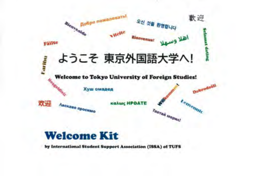

#### **Welcome Kit**

by International Student Support Association (ISSA) of TUFS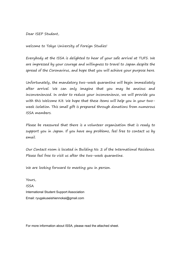Dear ISEP Student,

welcome to Tokyo University of Foreign Studies!

Everybody at the ISSA is delighted to hear of your safe arrival at TUFS. We are impressed by your courage and willingness to travel to Japan despite the spread of the Coronavirus, and hope that you will achieve your purpose here.

Unfortunately, the mandatory two-week quarantine will begin immediately after arrival. We can only imagine that you may be anxious and inconvenienced. In order to reduce your inconvenience, we will provide you with this Welcome Kit. We hope that these items will help you in your twoweek isolation. This small gift is prepared through donations from numerous ISSA members.

Please be reassured that there is a volunteer organization that is ready to support you in Japan. If you have any problems, feel free to contact us by email.

Our Contact room is located in Building No. 2 of the International Residence. Please feel free to visit us after the two-week quarantine.

We are looking forward to meeting you in person.

Yours, ISSA International Student Support Association Email: ryugakuseishiennokai@gmail.com

For more information about ISSA, please read the attached sheet.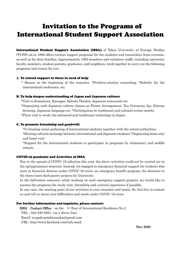## Invitation to the Programs of International Student Support Association

International Student Support Association (ISSA) of Tokyo University of Foreign Studies (TUFS) est.in 1999 offers various support programs for the students and researchers from overseas, as well as for their families. Approximately 1000 members and volunteer staffs, including university faculty members, student parents, graduates, and neighbors, work together to carry out the following programs and events for you:

### A. To extend support to those in need of help:

 \* Bazaar at the beginning of the semester, \*Problem-solution counseling, \*Subsidy for the international conference, etc.

### B. To help deepen understanding of Japan and Japanese culture:

\*Visit to Kamakura, Kawagoe, Kabuki Theater, Japanese restaurant etc.

 \*Organizing such Japanese culture classes as Flower Arrangement, Tea Ceremony, Igo, Kimono dressing, Japanese language etc. \*Participation in traditional and cultural events nearby. \*Plant visit to study the advanced and traditional technology in Japan.

### C. To promote friendship and goodwill:

\*Co-hosting social gathering of international students together with the school authorities,

\*Hosting cultural exchange between international and Japanese students \*Organizing home stay and home visit

\*Support for the international students to participate in programs by elementary and middle schools.

## COVID-19 pandemic and Activities of ISSA

Due to the spread of COVIC-19 infection this year, the above activities could not be carried out in the spring/summer semester. Instead, we engaged in emergency financial support for students who were in financial distress under COVIC-19 crisis: an emergency benefit program, the donation to the three times food pantry projects by University.

In the fall/winter semester, while working on such emergency support projects, we would like to resume the programs for study visit, friendship and cultural experience if possible.

In any case, the starting point of our activities is your situation and needs. So, feel free to contact us and tell us about your difficulties and needs under COVIC-19 crisis.

### For further information and inquiries, please contact:

 ISSA Contact Office on the 1st floor of International Residence No.2 TEL:042-330-5803(on a direct line) Email: ryugakuseishiennokai@gmail.com URL: http://www.facebook.com/tufs.issa2 Nov. 2020